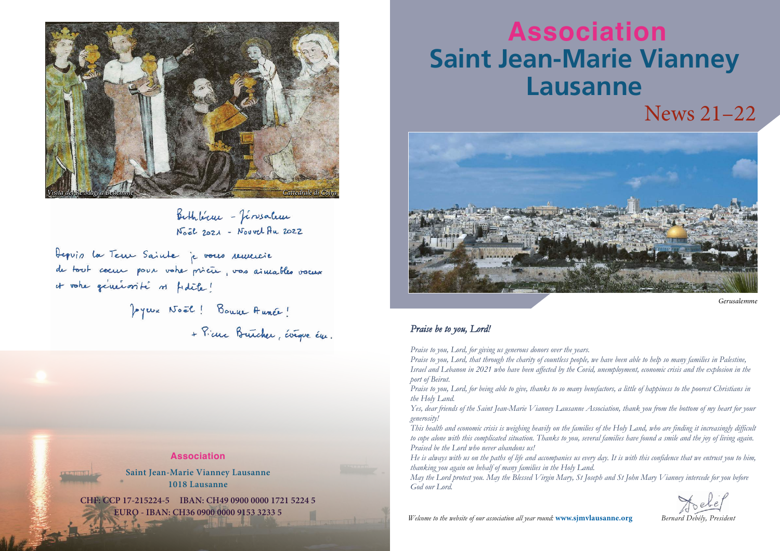# News 21–22 **Association Saint Jean-Marie Vianney Lausanne**



*Gerusalemme*

*Bernard Debély, President*

# *Praise be to you, Lord!*

*Praise to you, Lord, for giving us generous donors over the years. Praise to you, Lord, that through the charity of countless people, we have been able to help so many families in Palestine, Israel and Lebanon in 2021 who have been affected by the Covid, unemployment, economic crisis and the explosion in the port of Beirut.*

*Praise to you, Lord, for being able to give, thanks to so many benefactors, a little of happiness to the poorest Christians in the Holy Land.*

*Yes, dear friends of the Saint Jean-Marie Vianney Lausanne Association, thank you from the bottom of my heart for your generosity!*

*This health and economic crisis is weighing heavily on the families of the Holy Land, who are finding it increasingly difficult to cope alone with this complicated situation. Thanks to you, several families have found a smile and the joy of living again. Praised be the Lord who never abandons us!*

*He is always with us on the paths of life and accompanies us every day. It is with this confidence that we entrust you to him, thanking you again on behalf of many families in the Holy Land. May the Lord protect you. May the Blessed Virgin Mary, St Joseph and St John Mary Vianney intercede for you before God our Lord.*



Bithléren - Jérosalem Noël 2021 - Nouvel Au 2022

Depuis la Teux Sainte je vous remercie de tout coeux pour votre prieur, vos aimables vocus it votre généraité ni fidèle!

> Jeyeux Noêl! Bouve Aunce! + Pierre Buicher, évêque ém.

> > *Welcome to the website of our association all year round:* **www.sjmvlausanne.org**

## **Association**

**Saint Jean-Marie Vianney Lausanne 1018 Lausanne**

**CHF: CCP 17-215224-5 IBAN: CH49 0900 0000 1721 5224 5 EURO - IBAN: CH36 0900 0000 9153 3233 5**